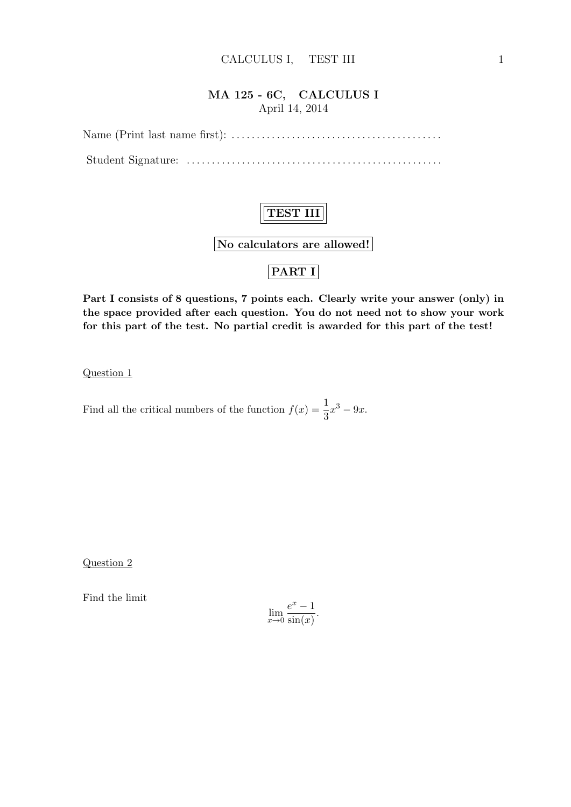#### MA 125 - 6C, CALCULUS I April 14, 2014

Name (Print last name first): . . . . . . . . . . . . . . . . . . . . . . . . . . . . . . . . . . . . . . . . . . Student Signature: . . . . . . . . . . . . . . . . . . . . . . . . . . . . . . . . . . . . . . . . . . . . . . . . . . .

# TEST III

No calculators are allowed!

## PART I

Part I consists of 8 questions, 7 points each. Clearly write your answer (only) in the space provided after each question. You do not need not to show your work for this part of the test. No partial credit is awarded for this part of the test!

Question 1

Find all the critical numbers of the function  $f(x) = \frac{1}{3}x^3 - 9x$ .

Question 2

Find the limit

$$
\lim_{x \to 0} \frac{e^x - 1}{\sin(x)}.
$$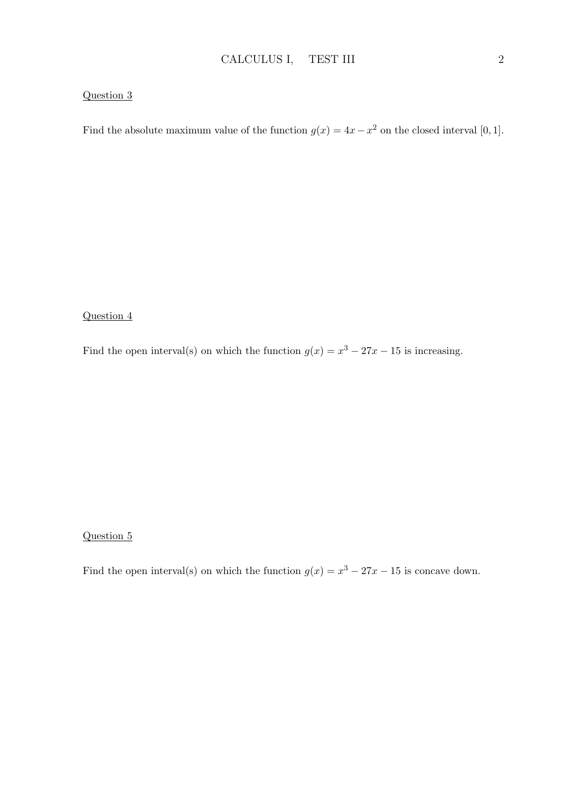#### Question 3

Find the absolute maximum value of the function  $g(x) = 4x - x^2$  on the closed interval [0, 1].

#### Question 4

Find the open interval(s) on which the function  $g(x) = x^3 - 27x - 15$  is increasing.

#### Question 5

Find the open interval(s) on which the function  $g(x) = x^3 - 27x - 15$  is concave down.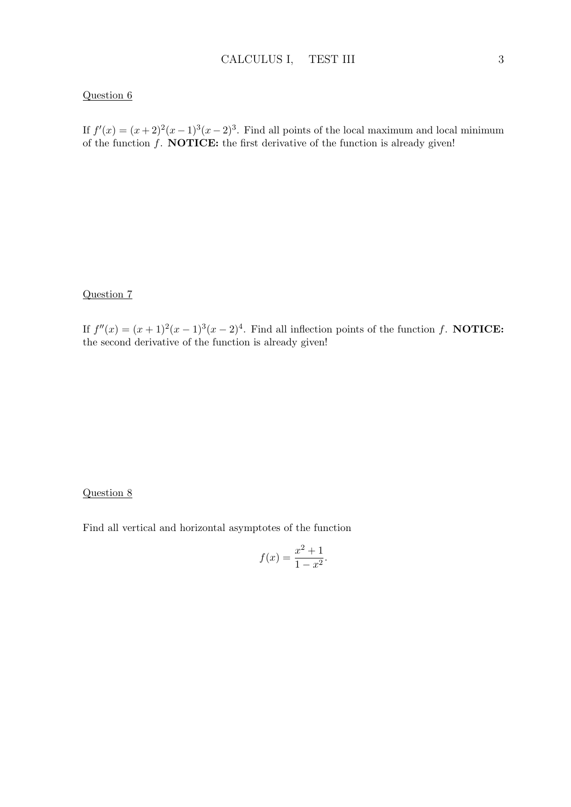#### Question 6

If  $f'(x) = (x+2)^2(x-1)^3(x-2)^3$ . Find all points of the local maximum and local minimum of the function  $f$ . **NOTICE:** the first derivative of the function is already given!

#### Question 7

If  $f''(x) = (x+1)^2(x-1)^3(x-2)^4$ . Find all inflection points of the function f. **NOTICE:** the second derivative of the function is already given!

#### Question 8

Find all vertical and horizontal asymptotes of the function

$$
f(x) = \frac{x^2 + 1}{1 - x^2}.
$$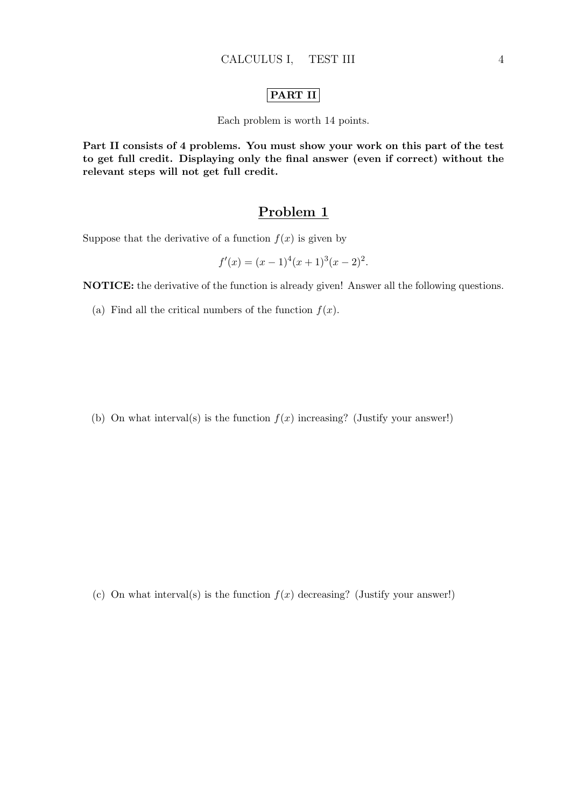#### PART II

Each problem is worth 14 points.

Part II consists of 4 problems. You must show your work on this part of the test to get full credit. Displaying only the final answer (even if correct) without the relevant steps will not get full credit.

### Problem 1

Suppose that the derivative of a function  $f(x)$  is given by

$$
f'(x) = (x - 1)^{4}(x + 1)^{3}(x - 2)^{2}.
$$

NOTICE: the derivative of the function is already given! Answer all the following questions.

(a) Find all the critical numbers of the function  $f(x)$ .

(b) On what interval(s) is the function  $f(x)$  increasing? (Justify your answer!)

(c) On what interval(s) is the function  $f(x)$  decreasing? (Justify your answer!)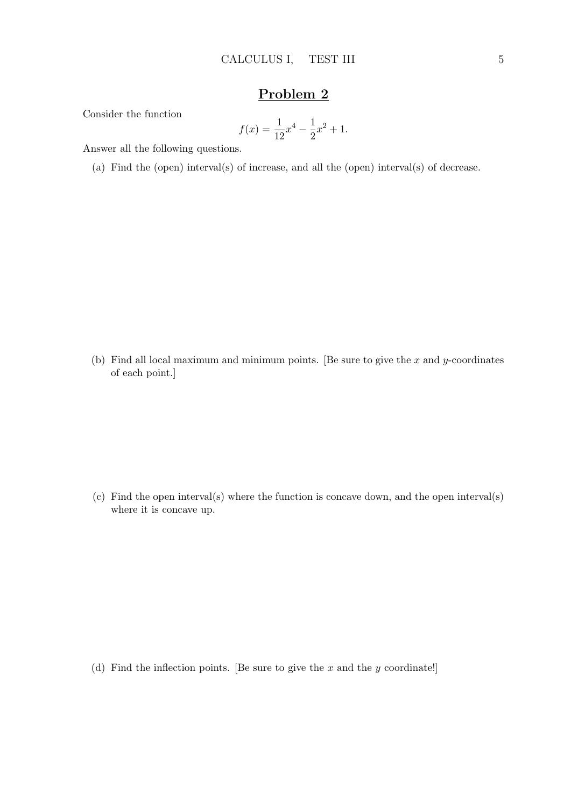### Problem 2

Consider the function

$$
f(x) = \frac{1}{12}x^4 - \frac{1}{2}x^2 + 1.
$$

Answer all the following questions.

(a) Find the (open) interval(s) of increase, and all the (open) interval(s) of decrease.

(b) Find all local maximum and minimum points. [Be sure to give the  $x$  and  $y$ -coordinates of each point.]

(c) Find the open interval(s) where the function is concave down, and the open interval(s) where it is concave up.

(d) Find the inflection points. [Be sure to give the  $x$  and the  $y$  coordinate!]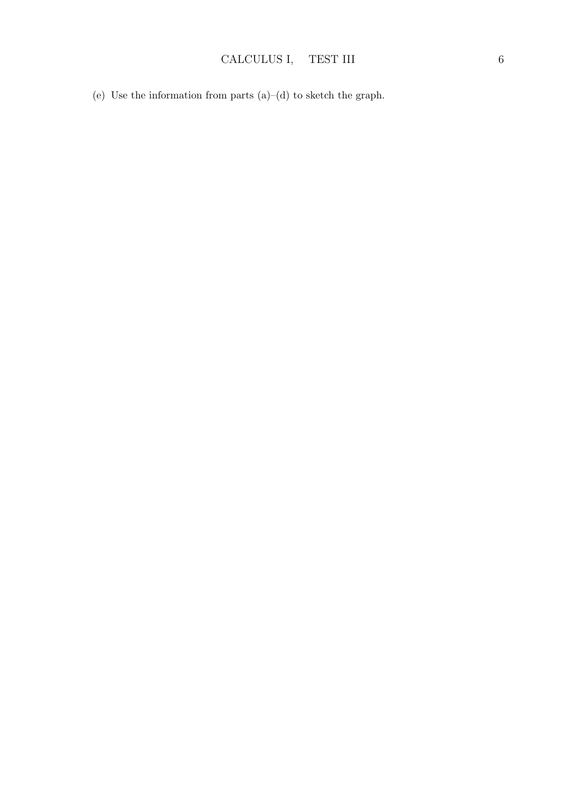(e) Use the information from parts  $(a)$ – $(d)$  to sketch the graph.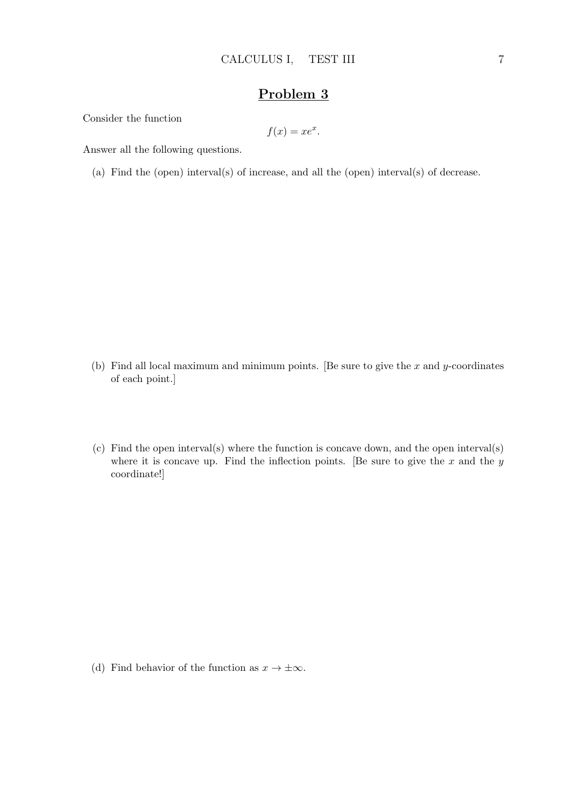## Problem 3

Consider the function

$$
f(x) = xe^x.
$$

Answer all the following questions.

(a) Find the (open) interval(s) of increase, and all the (open) interval(s) of decrease.

- (b) Find all local maximum and minimum points. [Be sure to give the  $x$  and  $y$ -coordinates of each point.]
- (c) Find the open interval(s) where the function is concave down, and the open interval(s) where it is concave up. Find the inflection points. [Be sure to give the  $x$  and the  $y$ coordinate!]

- 
- (d) Find behavior of the function as  $x \to \pm \infty$ .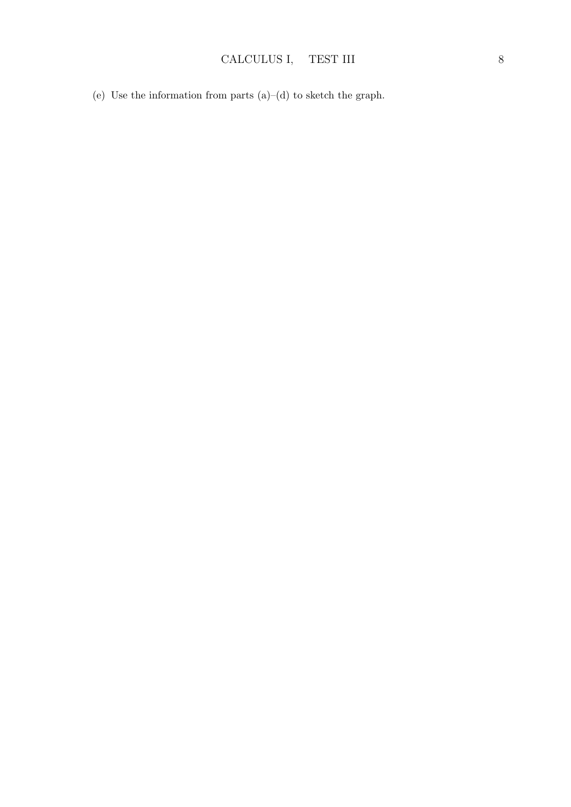(e) Use the information from parts  $(a)$ – $(d)$  to sketch the graph.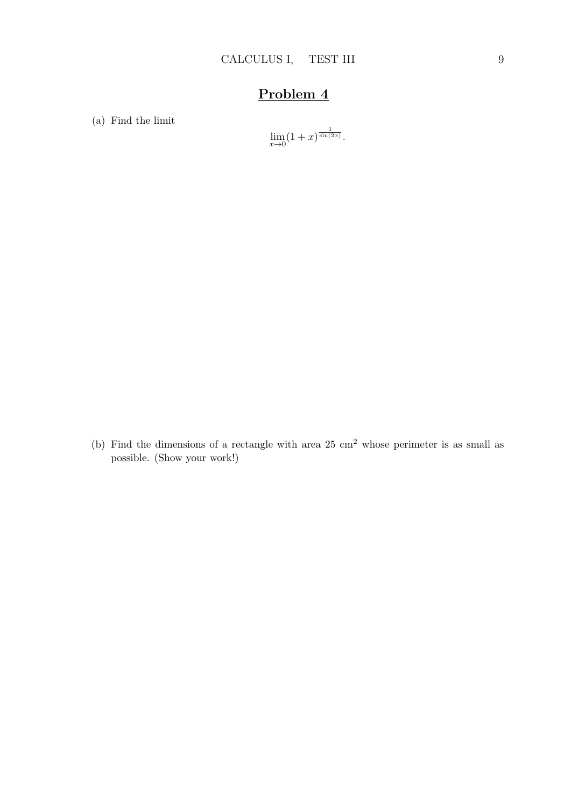# Problem 4

(a) Find the limit

$$
\lim_{x \to 0} (1+x)^{\frac{1}{\sin(2x)}}.
$$

(b) Find the dimensions of a rectangle with area  $25 \text{ cm}^2$  whose perimeter is as small as possible. (Show your work!)